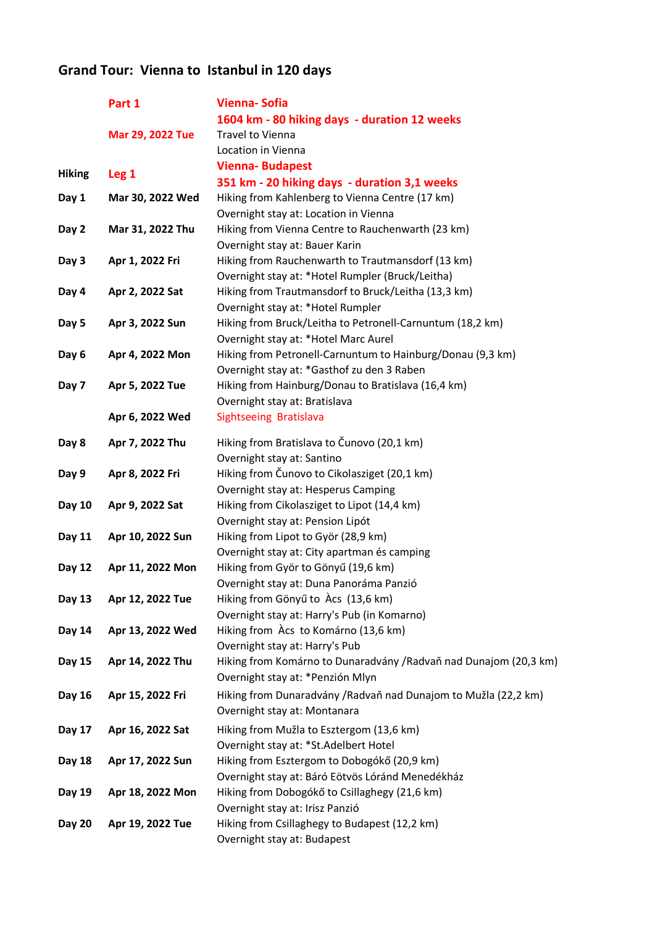## Grand Tour: Vienna to Istanbul in 120 days

|               | Part 1           | <b>Vienna-Sofia</b>                                               |
|---------------|------------------|-------------------------------------------------------------------|
|               |                  | 1604 km - 80 hiking days - duration 12 weeks                      |
|               | Mar 29, 2022 Tue | Travel to Vienna                                                  |
|               |                  | Location in Vienna                                                |
| <b>Hiking</b> | Leg <sub>1</sub> | <b>Vienna-Budapest</b>                                            |
|               |                  | 351 km - 20 hiking days - duration 3,1 weeks                      |
| Day 1         | Mar 30, 2022 Wed | Hiking from Kahlenberg to Vienna Centre (17 km)                   |
|               |                  | Overnight stay at: Location in Vienna                             |
| Day 2         | Mar 31, 2022 Thu | Hiking from Vienna Centre to Rauchenwarth (23 km)                 |
|               |                  | Overnight stay at: Bauer Karin                                    |
| Day 3         | Apr 1, 2022 Fri  | Hiking from Rauchenwarth to Trautmansdorf (13 km)                 |
|               |                  | Overnight stay at: * Hotel Rumpler (Bruck/Leitha)                 |
| Day 4         | Apr 2, 2022 Sat  | Hiking from Trautmansdorf to Bruck/Leitha (13,3 km)               |
|               |                  | Overnight stay at: *Hotel Rumpler                                 |
| Day 5         | Apr 3, 2022 Sun  | Hiking from Bruck/Leitha to Petronell-Carnuntum (18,2 km)         |
|               |                  | Overnight stay at: * Hotel Marc Aurel                             |
| Day 6         | Apr 4, 2022 Mon  | Hiking from Petronell-Carnuntum to Hainburg/Donau (9,3 km)        |
|               |                  | Overnight stay at: *Gasthof zu den 3 Raben                        |
| Day 7         | Apr 5, 2022 Tue  | Hiking from Hainburg/Donau to Bratislava (16,4 km)                |
|               |                  | Overnight stay at: Bratislava                                     |
|               | Apr 6, 2022 Wed  | Sightseeing Bratislava                                            |
| Day 8         | Apr 7, 2022 Thu  | Hiking from Bratislava to Čunovo (20,1 km)                        |
|               |                  | Overnight stay at: Santino                                        |
| Day 9         | Apr 8, 2022 Fri  | Hiking from Čunovo to Cikolasziget (20,1 km)                      |
|               |                  | Overnight stay at: Hesperus Camping                               |
| Day 10        | Apr 9, 2022 Sat  | Hiking from Cikolasziget to Lipot (14,4 km)                       |
|               |                  | Overnight stay at: Pension Lipót                                  |
| Day 11        | Apr 10, 2022 Sun | Hiking from Lipot to Györ (28,9 km)                               |
|               |                  | Overnight stay at: City apartman és camping                       |
| Day 12        | Apr 11, 2022 Mon | Hiking from Györ to Gönyű (19,6 km)                               |
|               |                  | Overnight stay at: Duna Panoráma Panzió                           |
| Day 13        | Apr 12, 2022 Tue | Hiking from Gönyű to Àcs (13,6 km)                                |
|               |                  | Overnight stay at: Harry's Pub (in Komarno)                       |
| Day 14        | Apr 13, 2022 Wed | Hiking from Àcs to Komárno (13,6 km)                              |
|               |                  | Overnight stay at: Harry's Pub                                    |
| Day 15        | Apr 14, 2022 Thu | Hiking from Komárno to Dunaradvány / Radvaň nad Dunajom (20,3 km) |
|               |                  | Overnight stay at: * Penzión Mlyn                                 |
| Day 16        | Apr 15, 2022 Fri | Hiking from Dunaradvány / Radvaň nad Dunajom to Mužla (22,2 km)   |
|               |                  | Overnight stay at: Montanara                                      |
| Day 17        | Apr 16, 2022 Sat | Hiking from Mužla to Esztergom (13,6 km)                          |
|               |                  | Overnight stay at: *St.Adelbert Hotel                             |
| Day 18        | Apr 17, 2022 Sun | Hiking from Esztergom to Dobogókő (20,9 km)                       |
|               |                  | Overnight stay at: Báró Eötvös Lóránd Menedékház                  |
| Day 19        | Apr 18, 2022 Mon | Hiking from Dobogókő to Csillaghegy (21,6 km)                     |
|               |                  | Overnight stay at: Irisz Panzió                                   |
| <b>Day 20</b> | Apr 19, 2022 Tue | Hiking from Csillaghegy to Budapest (12,2 km)                     |
|               |                  | Overnight stay at: Budapest                                       |
|               |                  |                                                                   |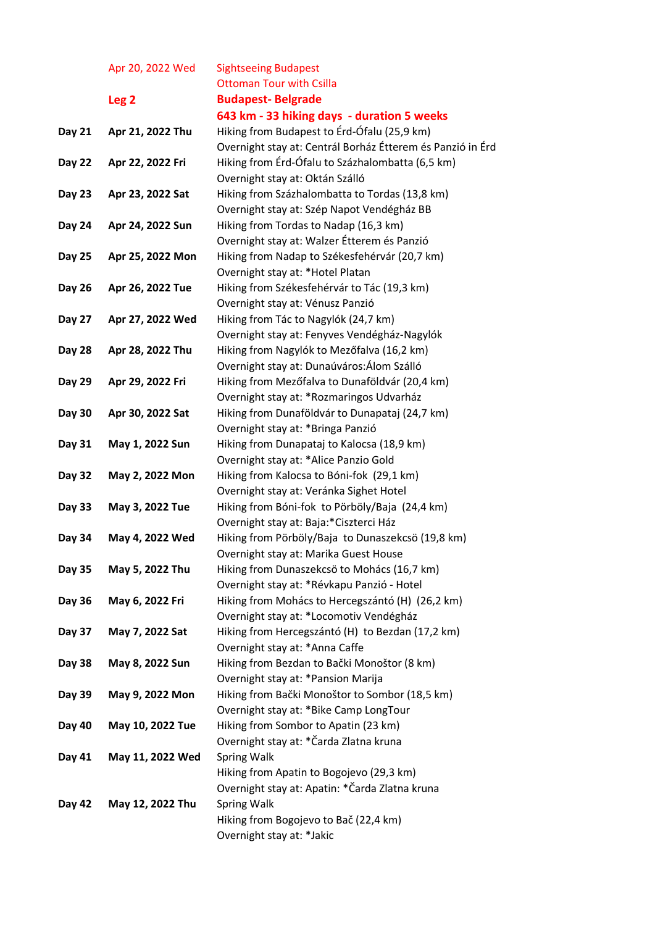Apr 20, 2022 Wed Sightseeing Budapest Ottoman Tour with Csilla Leg 2 Budapest- Belgrade 643 km - 33 hiking days - duration 5 weeks Day 21 Apr 21, 2022 Thu Hiking from Budapest to Érd-Ófalu (25,9 km) Overnight stay at: Centrál Borház Étterem és Panzió in Érd Day 22 Apr 22, 2022 Fri Hiking from Érd-Ófalu to Százhalombatta (6,5 km) Overnight stay at: Oktán Szálló Day 23 Apr 23, 2022 Sat Hiking from Százhalombatta to Tordas (13,8 km) Overnight stay at: Szép Napot Vendégház BB Day 24 Apr 24, 2022 Sun Hiking from Tordas to Nadap (16,3 km) Overnight stay at: Walzer Étterem és Panzió Day 25 Apr 25, 2022 Mon Hiking from Nadap to Székesfehérvár (20,7 km) Overnight stay at: \*Hotel Platan Day 26 Apr 26, 2022 Tue Hiking from Székesfehérvár to Tác (19,3 km) Overnight stay at: Vénusz Panzió Day 27 Apr 27, 2022 Wed Hiking from Tác to Nagylók (24,7 km) Overnight stay at: Fenyves Vendégház-Nagylók Day 28 Apr 28, 2022 Thu Hiking from Nagylók to Mezőfalva (16,2 km) Overnight stay at: Dunaúváros:Álom Szálló Day 29 Apr 29, 2022 Fri Hiking from Mezőfalva to Dunaföldvár (20,4 km) Overnight stay at: \*Rozmaringos Udvarház Day 30 Apr 30, 2022 Sat Hiking from Dunaföldvár to Dunapataj (24,7 km) Overnight stay at: \*Bringa Panzió Day 31 May 1, 2022 Sun Hiking from Dunapataj to Kalocsa (18,9 km) Overnight stay at: \*Alice Panzio Gold Day 32 May 2, 2022 Mon Hiking from Kalocsa to Bóni-fok (29,1 km) Overnight stay at: Veránka Sighet Hotel Day 33 May 3, 2022 Tue Hiking from Bóni-fok to Pörböly/Baja (24,4 km) Overnight stay at: Baja:\*Ciszterci Ház Day 34 May 4, 2022 Wed Hiking from Pörböly/Baja to Dunaszekcsö (19,8 km) Overnight stay at: Marika Guest House Day 35 May 5, 2022 Thu Hiking from Dunaszekcsö to Mohács (16,7 km) Overnight stay at: \*Révkapu Panzió - Hotel Day 36 May 6, 2022 Fri Hiking from Mohács to Hercegszántó (H) (26,2 km) Overnight stay at: \*Locomotiv Vendégház Day 37 May 7, 2022 Sat Hiking from Hercegszántó (H) to Bezdan (17,2 km) Overnight stay at: \*Anna Caffe Day 38 May 8, 2022 Sun Hiking from Bezdan to Bački Monoštor (8 km) Overnight stay at: \*Pansion Marija Day 39 May 9, 2022 Mon Hiking from Bački Monoštor to Sombor (18,5 km) Overnight stay at: \*Bike Camp LongTour Day 40 May 10, 2022 Tue Hiking from Sombor to Apatin (23 km) Overnight stay at: \*Čarda Zlatna kruna Day 41 May 11, 2022 Wed Spring Walk Hiking from Apatin to Bogojevo (29,3 km) Overnight stay at: Apatin: \*Čarda Zlatna kruna Day 42 May 12, 2022 Thu Spring Walk Hiking from Bogojevo to Bač (22,4 km)

Overnight stay at: \*Jakic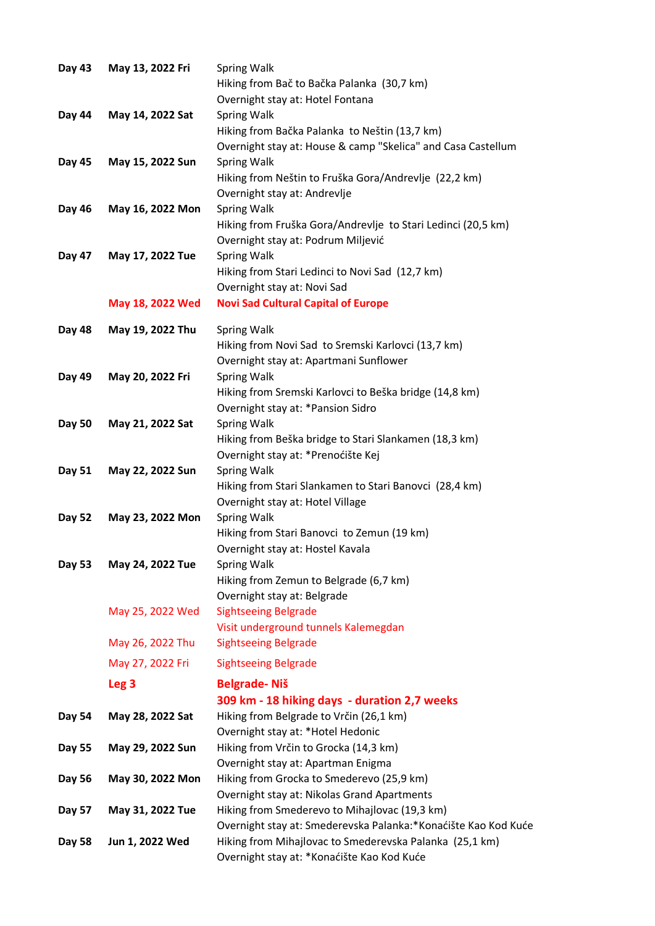| Day 43 | May 13, 2022 Fri | <b>Spring Walk</b><br>Hiking from Bač to Bačka Palanka (30,7 km)                      |
|--------|------------------|---------------------------------------------------------------------------------------|
|        |                  | Overnight stay at: Hotel Fontana                                                      |
| Day 44 | May 14, 2022 Sat | <b>Spring Walk</b>                                                                    |
|        |                  | Hiking from Bačka Palanka to Neštin (13,7 km)                                         |
|        |                  | Overnight stay at: House & camp "Skelica" and Casa Castellum                          |
| Day 45 | May 15, 2022 Sun | <b>Spring Walk</b>                                                                    |
|        |                  | Hiking from Neštin to Fruška Gora/Andrevlje (22,2 km)<br>Overnight stay at: Andrevlje |
| Day 46 | May 16, 2022 Mon | <b>Spring Walk</b>                                                                    |
|        |                  | Hiking from Fruška Gora/Andrevlje to Stari Ledinci (20,5 km)                          |
|        |                  | Overnight stay at: Podrum Miljević                                                    |
| Day 47 | May 17, 2022 Tue | <b>Spring Walk</b>                                                                    |
|        |                  | Hiking from Stari Ledinci to Novi Sad (12,7 km)                                       |
|        |                  | Overnight stay at: Novi Sad                                                           |
|        | May 18, 2022 Wed | <b>Novi Sad Cultural Capital of Europe</b>                                            |
| Day 48 | May 19, 2022 Thu | <b>Spring Walk</b>                                                                    |
|        |                  | Hiking from Novi Sad to Sremski Karlovci (13,7 km)                                    |
|        |                  | Overnight stay at: Apartmani Sunflower                                                |
| Day 49 | May 20, 2022 Fri | <b>Spring Walk</b>                                                                    |
|        |                  | Hiking from Sremski Karlovci to Beška bridge (14,8 km)                                |
|        |                  | Overnight stay at: * Pansion Sidro                                                    |
| Day 50 | May 21, 2022 Sat | <b>Spring Walk</b>                                                                    |
|        |                  | Hiking from Beška bridge to Stari Slankamen (18,3 km)                                 |
|        |                  | Overnight stay at: * Prenoćište Kej<br><b>Spring Walk</b>                             |
| Day 51 | May 22, 2022 Sun | Hiking from Stari Slankamen to Stari Banovci (28,4 km)                                |
|        |                  | Overnight stay at: Hotel Village                                                      |
| Day 52 | May 23, 2022 Mon | <b>Spring Walk</b>                                                                    |
|        |                  | Hiking from Stari Banovci to Zemun (19 km)                                            |
|        |                  | Overnight stay at: Hostel Kavala                                                      |
| Day 53 | May 24, 2022 Tue | <b>Spring Walk</b>                                                                    |
|        |                  | Hiking from Zemun to Belgrade (6,7 km)                                                |
|        |                  | Overnight stay at: Belgrade                                                           |
|        | May 25, 2022 Wed | <b>Sightseeing Belgrade</b>                                                           |
|        | May 26, 2022 Thu | Visit underground tunnels Kalemegdan<br><b>Sightseeing Belgrade</b>                   |
|        | May 27, 2022 Fri | <b>Sightseeing Belgrade</b>                                                           |
|        |                  |                                                                                       |
|        | Leg <sub>3</sub> | <b>Belgrade-Niš</b><br>309 km - 18 hiking days - duration 2,7 weeks                   |
| Day 54 | May 28, 2022 Sat | Hiking from Belgrade to Vrčin (26,1 km)                                               |
|        |                  | Overnight stay at: * Hotel Hedonic                                                    |
| Day 55 | May 29, 2022 Sun | Hiking from Vrčin to Grocka (14,3 km)                                                 |
|        |                  | Overnight stay at: Apartman Enigma                                                    |
| Day 56 | May 30, 2022 Mon | Hiking from Grocka to Smederevo (25,9 km)                                             |
|        |                  | Overnight stay at: Nikolas Grand Apartments                                           |
| Day 57 | May 31, 2022 Tue | Hiking from Smederevo to Mihajlovac (19,3 km)                                         |
|        |                  | Overnight stay at: Smederevska Palanka:* Konaćište Kao Kod Kuće                       |
| Day 58 | Jun 1, 2022 Wed  | Hiking from Mihajlovac to Smederevska Palanka (25,1 km)                               |
|        |                  | Overnight stay at: * Konaćište Kao Kod Kuće                                           |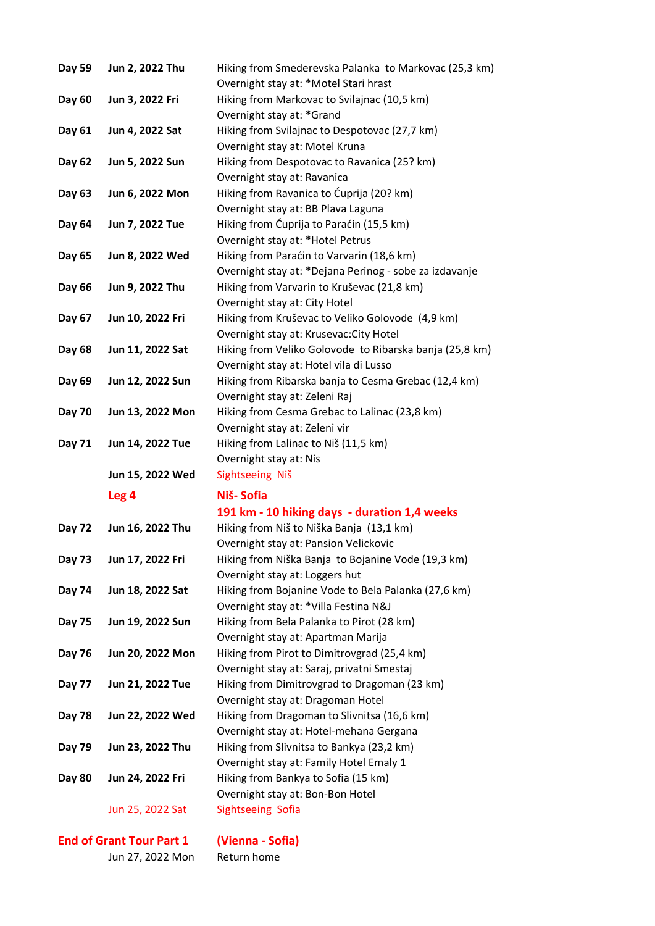| Day 59        | Jun 2, 2022 Thu  | Hiking from Smederevska Palanka to Markovac (25,3 km)   |
|---------------|------------------|---------------------------------------------------------|
|               |                  | Overnight stay at: *Motel Stari hrast                   |
| Day 60        | Jun 3, 2022 Fri  | Hiking from Markovac to Svilajnac (10,5 km)             |
|               |                  | Overnight stay at: *Grand                               |
| Day 61        | Jun 4, 2022 Sat  | Hiking from Svilajnac to Despotovac (27,7 km)           |
|               |                  | Overnight stay at: Motel Kruna                          |
| Day 62        | Jun 5, 2022 Sun  | Hiking from Despotovac to Ravanica (25? km)             |
|               |                  | Overnight stay at: Ravanica                             |
| Day 63        | Jun 6, 2022 Mon  | Hiking from Ravanica to Ćuprija (20? km)                |
|               |                  | Overnight stay at: BB Plava Laguna                      |
| Day 64        | Jun 7, 2022 Tue  | Hiking from Ćuprija to Paraćin (15,5 km)                |
|               |                  | Overnight stay at: * Hotel Petrus                       |
| Day 65        | Jun 8, 2022 Wed  | Hiking from Paraćin to Varvarin (18,6 km)               |
|               |                  | Overnight stay at: *Dejana Perinog - sobe za izdavanje  |
| Day 66        | Jun 9, 2022 Thu  | Hiking from Varvarin to Kruševac (21,8 km)              |
|               |                  | Overnight stay at: City Hotel                           |
| Day 67        | Jun 10, 2022 Fri | Hiking from Kruševac to Veliko Golovode (4,9 km)        |
|               |                  | Overnight stay at: Krusevac: City Hotel                 |
| Day 68        | Jun 11, 2022 Sat | Hiking from Veliko Golovode to Ribarska banja (25,8 km) |
|               |                  | Overnight stay at: Hotel vila di Lusso                  |
| Day 69        | Jun 12, 2022 Sun | Hiking from Ribarska banja to Cesma Grebac (12,4 km)    |
|               |                  | Overnight stay at: Zeleni Raj                           |
| <b>Day 70</b> | Jun 13, 2022 Mon | Hiking from Cesma Grebac to Lalinac (23,8 km)           |
|               |                  | Overnight stay at: Zeleni vir                           |
| Day 71        | Jun 14, 2022 Tue | Hiking from Lalinac to Niš (11,5 km)                    |
|               |                  | Overnight stay at: Nis                                  |
|               | Jun 15, 2022 Wed | Sightseeing Niš                                         |
|               | Leg 4            | Niš-Sofia                                               |
|               |                  | 191 km - 10 hiking days - duration 1,4 weeks            |
| Day 72        | Jun 16, 2022 Thu | Hiking from Niš to Niška Banja (13,1 km)                |
|               |                  | Overnight stay at: Pansion Velickovic                   |
| Day 73        | Jun 17, 2022 Fri | Hiking from Niška Banja to Bojanine Vode (19,3 km)      |
|               |                  | Overnight stay at: Loggers hut                          |
| Day 74        | Jun 18, 2022 Sat | Hiking from Bojanine Vode to Bela Palanka (27,6 km)     |
|               |                  | Overnight stay at: *Villa Festina N&J                   |
| Day 75        | Jun 19, 2022 Sun | Hiking from Bela Palanka to Pirot (28 km)               |
|               |                  | Overnight stay at: Apartman Marija                      |
| Day 76        | Jun 20, 2022 Mon | Hiking from Pirot to Dimitrovgrad (25,4 km)             |
|               |                  | Overnight stay at: Saraj, privatni Smestaj              |
| Day 77        | Jun 21, 2022 Tue | Hiking from Dimitrovgrad to Dragoman (23 km)            |
|               |                  | Overnight stay at: Dragoman Hotel                       |
| Day 78        | Jun 22, 2022 Wed | Hiking from Dragoman to Slivnitsa (16,6 km)             |
|               |                  | Overnight stay at: Hotel-mehana Gergana                 |
| Day 79        | Jun 23, 2022 Thu | Hiking from Slivnitsa to Bankya (23,2 km)               |
|               |                  | Overnight stay at: Family Hotel Emaly 1                 |
| <b>Day 80</b> |                  |                                                         |
|               | Jun 24, 2022 Fri | Hiking from Bankya to Sofia (15 km)                     |
|               |                  | Overnight stay at: Bon-Bon Hotel                        |
|               | Jun 25, 2022 Sat | Sightseeing Sofia                                       |

## End of Grant Tour Part 1 (Vienna - Sofia)

Jun 27, 2022 Mon Return home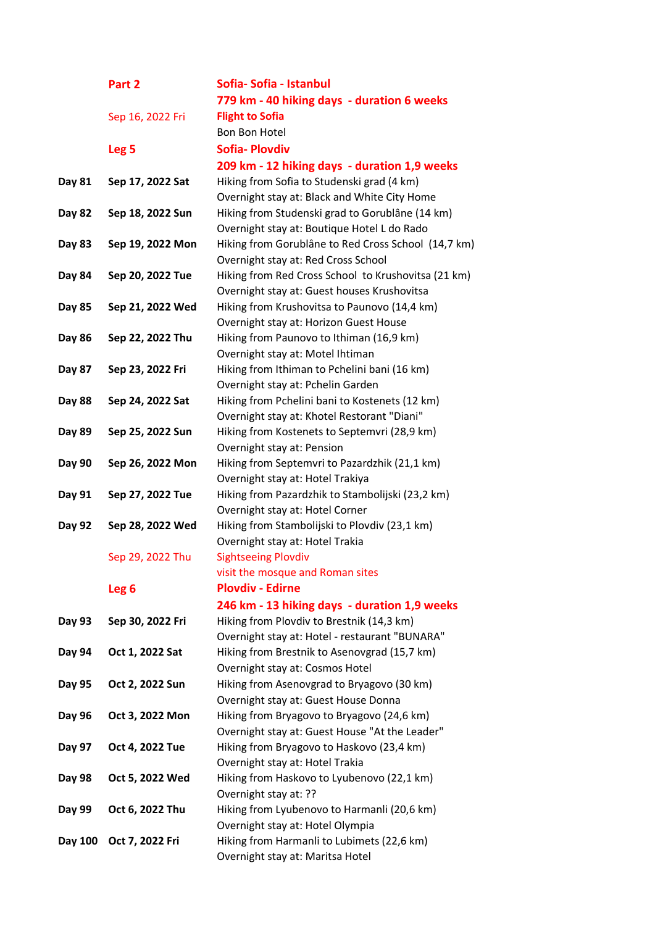|               | Part 2           | Sofia-Sofia - Istanbul                                                           |
|---------------|------------------|----------------------------------------------------------------------------------|
|               |                  | 779 km - 40 hiking days - duration 6 weeks                                       |
|               | Sep 16, 2022 Fri | <b>Flight to Sofia</b>                                                           |
|               |                  | Bon Bon Hotel                                                                    |
|               | Leg <sub>5</sub> | <b>Sofia-Plovdiv</b>                                                             |
|               |                  | 209 km - 12 hiking days - duration 1,9 weeks                                     |
| Day 81        | Sep 17, 2022 Sat | Hiking from Sofia to Studenski grad (4 km)                                       |
|               |                  | Overnight stay at: Black and White City Home                                     |
| Day 82        | Sep 18, 2022 Sun | Hiking from Studenski grad to Gorublâne (14 km)                                  |
|               |                  | Overnight stay at: Boutique Hotel L do Rado                                      |
| Day 83        | Sep 19, 2022 Mon | Hiking from Gorublâne to Red Cross School (14,7 km)                              |
|               |                  | Overnight stay at: Red Cross School                                              |
| Day 84        | Sep 20, 2022 Tue | Hiking from Red Cross School to Krushovitsa (21 km)                              |
|               |                  | Overnight stay at: Guest houses Krushovitsa                                      |
| Day 85        | Sep 21, 2022 Wed | Hiking from Krushovitsa to Paunovo (14,4 km)                                     |
|               |                  | Overnight stay at: Horizon Guest House                                           |
| Day 86        | Sep 22, 2022 Thu | Hiking from Paunovo to Ithiman (16,9 km)                                         |
|               |                  | Overnight stay at: Motel Ihtiman                                                 |
| Day 87        | Sep 23, 2022 Fri | Hiking from Ithiman to Pchelini bani (16 km)                                     |
|               |                  | Overnight stay at: Pchelin Garden                                                |
| <b>Day 88</b> | Sep 24, 2022 Sat | Hiking from Pchelini bani to Kostenets (12 km)                                   |
|               |                  | Overnight stay at: Khotel Restorant "Diani"                                      |
| Day 89        | Sep 25, 2022 Sun | Hiking from Kostenets to Septemvri (28,9 km)                                     |
|               |                  | Overnight stay at: Pension                                                       |
| Day 90        | Sep 26, 2022 Mon | Hiking from Septemvri to Pazardzhik (21,1 km)                                    |
|               |                  | Overnight stay at: Hotel Trakiya                                                 |
| Day 91        | Sep 27, 2022 Tue | Hiking from Pazardzhik to Stambolijski (23,2 km)                                 |
| Day 92        | Sep 28, 2022 Wed | Overnight stay at: Hotel Corner<br>Hiking from Stambolijski to Plovdiv (23,1 km) |
|               |                  | Overnight stay at: Hotel Trakia                                                  |
|               | Sep 29, 2022 Thu | <b>Sightseeing Plovdiv</b>                                                       |
|               |                  | visit the mosque and Roman sites                                                 |
|               | Leg <sub>6</sub> | <b>Plovdiv - Edirne</b>                                                          |
|               |                  | 246 km - 13 hiking days - duration 1,9 weeks                                     |
| Day 93        | Sep 30, 2022 Fri | Hiking from Plovdiv to Brestnik (14,3 km)                                        |
|               |                  | Overnight stay at: Hotel - restaurant "BUNARA"                                   |
| Day 94        | Oct 1, 2022 Sat  | Hiking from Brestnik to Asenovgrad (15,7 km)                                     |
|               |                  | Overnight stay at: Cosmos Hotel                                                  |
| Day 95        | Oct 2, 2022 Sun  | Hiking from Asenovgrad to Bryagovo (30 km)                                       |
|               |                  | Overnight stay at: Guest House Donna                                             |
| Day 96        | Oct 3, 2022 Mon  | Hiking from Bryagovo to Bryagovo (24,6 km)                                       |
|               |                  | Overnight stay at: Guest House "At the Leader"                                   |
| Day 97        | Oct 4, 2022 Tue  | Hiking from Bryagovo to Haskovo (23,4 km)                                        |
|               |                  | Overnight stay at: Hotel Trakia                                                  |
| Day 98        | Oct 5, 2022 Wed  | Hiking from Haskovo to Lyubenovo (22,1 km)                                       |
|               |                  | Overnight stay at: ??                                                            |
| Day 99        | Oct 6, 2022 Thu  | Hiking from Lyubenovo to Harmanli (20,6 km)                                      |
|               |                  | Overnight stay at: Hotel Olympia                                                 |
| Day 100       | Oct 7, 2022 Fri  | Hiking from Harmanli to Lubimets (22,6 km)                                       |
|               |                  | Overnight stay at: Maritsa Hotel                                                 |